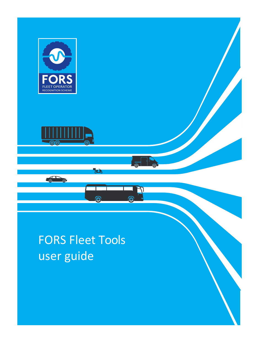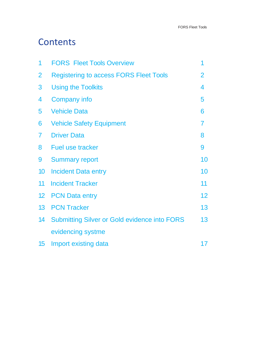## **Contents**

| 1                | <b>FORS Fleet Tools Overview</b>                    |                |
|------------------|-----------------------------------------------------|----------------|
| $\overline{2}$   | <b>Registering to access FORS Fleet Tools</b>       | $\overline{2}$ |
| 3                | <b>Using the Toolkits</b>                           | 4              |
| 4                | <b>Company info</b>                                 | 5              |
| 5                | <b>Vehicle Data</b>                                 | 6              |
| 6                | <b>Vehicle Safety Equipment</b>                     | 7              |
| $\overline{I}$   | <b>Driver Data</b>                                  | 8              |
| 8                | <b>Fuel use tracker</b>                             | 9              |
| 9                | <b>Summary report</b>                               | 10             |
| 10               | <b>Incident Data entry</b>                          | 10             |
| 11               | <b>Incident Tracker</b>                             | 11             |
| 12 <sub>2</sub>  | <b>PCN Data entry</b>                               | 12             |
| 13 <sup>°</sup>  | <b>PCN Tracker</b>                                  | 13             |
| 14               | <b>Submitting Silver or Gold evidence into FORS</b> | 13             |
|                  | evidencing systme                                   |                |
| 15 <sub>15</sub> | Import existing data                                | 17             |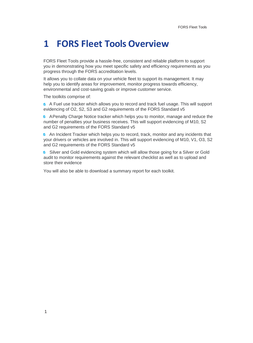#### <span id="page-4-0"></span>**1 FORS Fleet Tools Overview**

FORS Fleet Tools provide a hassle-free, consistent and reliable platform to support you in demonstrating how you meet specific safety and efficiency requirements as you progress through the FORS accreditation levels.

It allows you to collate data on your vehicle fleet to support its management. It may help you to identify areas for improvement, monitor progress towards efficiency, environmental and cost-saving goals or improve customer service.

The toolkits comprise of:

**A** A Fuel use tracker which allows you to record and track fuel usage. This will support evidencing of O2, S2, S3 and G2 requirements of the FORS Standard v5

**A** APenalty Charge Notice tracker which helps you to monitor, manage and reduce the number of penalties your business receives. This will support evidencing of M10, S2 and G2 requirements of the FORS Standard v5

**C** An Incident Tracker which helps you to record, track, monitor and any incidents that your drivers or vehicles are involved in. This will support evidencing of M10, V1, O3, S2 and G2 requirements of the FORS Standard v5

Silver and Gold evidencing system which will allow those going for a Silver or Gold audit to monitor requirements against the relevant checklist as well as to upload and store their evidence

You will also be able to download a summary report for each toolkit.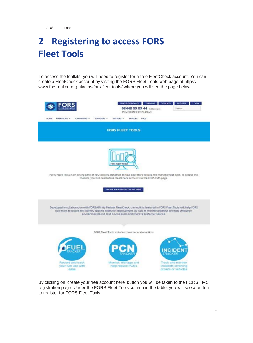# <span id="page-5-0"></span>**2 Registering to access FORS Fleet Tools**

To access the toolkits, you will need to register for a free FleetCheck account. You can create a FleetCheck account by visiting the FORS Fleet Tools web page at https:// [www.fors-online.org.uk/cms/fors-fleet-tools/ w](http://www.fors-online.org.uk/cms/fors-fleet-tools/)here you will see the page below.

| <b>HOME</b><br>OPERATORS -<br>CHAMPIONS -             | WHO'S ON BOARD?<br>08448 09 09 44 Addressed<br>enquiries@fors-online.org.uk:<br>SUPPLIERS -<br>VISITORS -<br><b>EXPLORE</b><br><b>FAQS</b>                                                                                                                                                                           | <b>TRAINING</b><br><b>TOOLKITS</b><br><b>REGISTER</b><br><b>LIDGIN</b><br>Search |
|-------------------------------------------------------|----------------------------------------------------------------------------------------------------------------------------------------------------------------------------------------------------------------------------------------------------------------------------------------------------------------------|----------------------------------------------------------------------------------|
|                                                       | <b>FORS FLEET TOOLS</b>                                                                                                                                                                                                                                                                                              |                                                                                  |
|                                                       | FORS FLEET TOOLS<br>FORS Fleet Tools is an online bank of key toolkits, designed to help operators collate and manage fleet data. To access the<br>toolkits, you will need a free FleetCheck account via the FORS FMS page.<br>CREATE YOUR FREE ACCOUNT HERE                                                         |                                                                                  |
|                                                       | Developed in collaboration with FORS Affinity Partner FleetCheck, the toolkits featured in FORS Fleet Tools will help FORS:<br>operators to record and identify specific areas for improvement, as well as monitor progress towards efficiency.<br>anvironmental and cost-saving goals and improve customer service. |                                                                                  |
|                                                       | FORS Fleet Tools includes three separate toolkits                                                                                                                                                                                                                                                                    |                                                                                  |
|                                                       |                                                                                                                                                                                                                                                                                                                      | <b>INCIDEN</b><br>TRACKER                                                        |
| Record and track<br>your fuel use with<br><b>BRSB</b> | Monitor, manage and<br>help reduce PCNs                                                                                                                                                                                                                                                                              | Track and monitor<br>incidents involving<br>drivers or vehicles.                 |

By clicking on 'create your free account here' button you will be taken to the FORS FMS registration page. Under the FORS Fleet Tools column in the table, you will see a button to register for FORS Fleet Tools.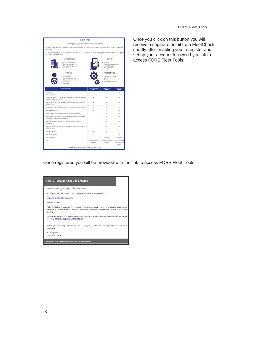| <b>FORS FMS</b>                                                                                                                                                                               |                                  |                                                                                                  |                                               |
|-----------------------------------------------------------------------------------------------------------------------------------------------------------------------------------------------|----------------------------------|--------------------------------------------------------------------------------------------------|-----------------------------------------------|
| Helping you to gain and maintain FORS Accreditation                                                                                                                                           |                                  |                                                                                                  |                                               |
| FORS fleet management system, powered by ReetCheck, delivers a comprehensive platform enabling complete vehicle, driver and organisation<br>management.                                       |                                  |                                                                                                  |                                               |
| FORS RMS delivers the todis you need to obtain and maintain your FORS accreditation. Its intuitive design suits fleets of all sises, providing a robi<br>audit trail and total peace of mind. |                                  |                                                                                                  |                                               |
| Management                                                                                                                                                                                    |                                  | Driver                                                                                           |                                               |
| FORS documentation<br>Document storage<br>· Transport infringements<br>· Vehicle fixed                                                                                                        |                                  | · Licensing<br>· Professional development<br>. Heath& Everight<br>· Driving Standards            |                                               |
| Vehicle<br>. Inspection and<br>maintenance planning<br>· Daily walk around checks<br>· Vehicle tex<br>Insurance                                                                               |                                  | <b>Operations</b><br>· Fuel emissions and air<br>ouality.<br>. Routing<br>Road traffic collaions |                                               |
| <b>Encomen and Feedures</b>                                                                                                                                                                   | <b>FORE First Tools</b><br>gern, | FOREFWE16<br><b>Venezues</b>                                                                     | FOR EFTER BY<br>tempora                       |
| Free set-up<br>beering \$10.00 per selected                                                                                                                                                   | x                                | x                                                                                                | s.                                            |
| ADMITTO all new FFT. Includinative imamagement. Incident management.<br>and RCN management toolides                                                                                           | ¥                                | ¥                                                                                                | s.                                            |
| Direct import of performance data to RDRS Sivenand Gold application<br>forms summa source                                                                                                     | s                                | s                                                                                                | $\mathcal{J}$                                 |
| Management-checklist to demonstrate which documents are required.                                                                                                                             | ×                                | x                                                                                                | s                                             |
| Safety data importing                                                                                                                                                                         | s                                | x                                                                                                | s                                             |
| Driver- checklist and reminders for when updates are required                                                                                                                                 |                                  | s                                                                                                | u.                                            |
| Vehicle-checklist that allows you to manage maintenance schedule and<br>provide customized reporting for audits                                                                               |                                  |                                                                                                  | d.                                            |
| Operations - checklist and recorts to support demonstration of<br>somaliance                                                                                                                  |                                  | s                                                                                                | s                                             |
| Free integrated drivers walk around applaligned to FORS requirements.<br>FORS PMS Mobile                                                                                                      |                                  | š                                                                                                | v                                             |
| Automatic set-up                                                                                                                                                                              | v                                | $\mathcal{L}$                                                                                    |                                               |
| Staff assistant flash                                                                                                                                                                         |                                  |                                                                                                  | st.                                           |
| <b>Free Trial pariod</b>                                                                                                                                                                      |                                  | 3 months                                                                                         | 1 month                                       |
| Cost                                                                                                                                                                                          | Free for all FORS<br>телент.     | 50% discount for 9<br>months                                                                     | 10% discounted<br>subscription per<br>vehicle |

Once you click on this button you will receive a separate email from FleetCheck shortly after enabling you to register and set up your account followed by a link to access FORS Fleet Tools.

Once registered you will be provided with the link to access FORS Fleet Tools.

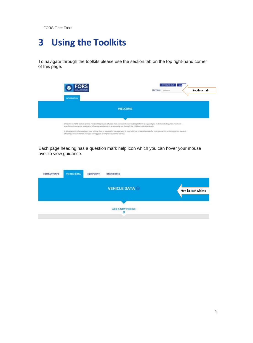# <span id="page-7-0"></span>**3 Using the Toolkits**

To navigate through the toolkits please use the section tab on the top right-hand corner of this page.

| <b>INTRODUCTION</b>                                                                                                                                                                                                                                                      | RETURN TO CMS  Logo<br><b>Sections tab</b><br>SECTION: Welcome                                                                                             |
|--------------------------------------------------------------------------------------------------------------------------------------------------------------------------------------------------------------------------------------------------------------------------|------------------------------------------------------------------------------------------------------------------------------------------------------------|
|                                                                                                                                                                                                                                                                          | <b>WELCOME</b>                                                                                                                                             |
|                                                                                                                                                                                                                                                                          |                                                                                                                                                            |
| Welcome to FDRS toolkits online. The toolkits provide a hassle free, consistent and reliable platform to support you in demonstrating how you meet.<br>specific environmental, safety and efficiency requirements as you progress through the FORS accreditation levels. |                                                                                                                                                            |
| efficiency, environmental and cost-saving goals or improve customer service.                                                                                                                                                                                             | It allows you to collate data on your vehicle fleet to support its management. It may help you to identify areas for improvement, monitor progress towards |

Each page heading has a question mark help icon which you can hover your mouse over to view guidance.

| <b>COMPANY INFO</b> | <b>VEHICLE DATA</b> | <b>MARKEY MARKED BY</b><br><b>EQUIPMENT</b> | 399-482012-12020<br><b>DRIVER DATA</b>           |                         |
|---------------------|---------------------|---------------------------------------------|--------------------------------------------------|-------------------------|
|                     |                     |                                             | <b>VEHICLE DATA</b>                              | Question mark help icon |
|                     |                     |                                             | 1000123330030442042542<br>ADD A NEW VEHICLE<br>v |                         |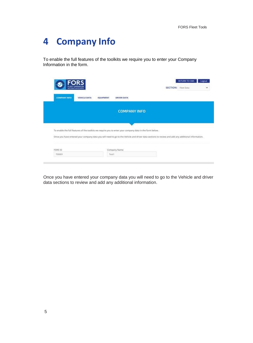## <span id="page-8-0"></span>**4 Company Info**

To enable the full features of the toolkits we require you to enter your Company Information in the form.

|                     | <b>FLEET OPERATOR</b><br>RECONFIGN SCHEME |                  |                                                                                                                                                   | <b>SECTION:</b> Fleet Data |  |
|---------------------|-------------------------------------------|------------------|---------------------------------------------------------------------------------------------------------------------------------------------------|----------------------------|--|
| <b>COMPANY INFO</b> | <b>VEHICLE DATA</b>                       | <b>EQUIPMENT</b> | <b>DRIVER DATA</b>                                                                                                                                |                            |  |
|                     |                                           |                  | <b>COMPANY INFO</b>                                                                                                                               |                            |  |
|                     |                                           |                  |                                                                                                                                                   |                            |  |
|                     |                                           |                  |                                                                                                                                                   |                            |  |
|                     |                                           |                  | To enable the full features of the toolkits we require you to enter your company data in the form below.                                          |                            |  |
|                     |                                           |                  | Once you have entered your company data you will need to go to the Vehicle and driver data sections to review and add any additional information. |                            |  |
| FORS ID             |                                           |                  | Company Name                                                                                                                                      |                            |  |

Once you have entered your company data you will need to go to the Vehicle and driver data sections to review and add any additional information.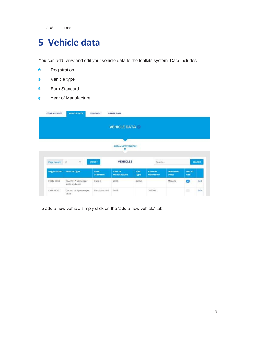## <span id="page-9-0"></span>**5 Vehicle data**

You can add, view and edit your vehicle data to the toolkits system. Data includes:

- $\bullet$ Registration
- Vehicle type  $\bullet$
- $\bullet$ Euro Standard
- Year of Manufacture  $\bullet$

| <b>COMPANY INFO</b> | <b>VEHICLE DATA</b>                    | EQUIPMENT               | <b>DRIVER DATA</b>     |                   |                            |                                 |               |               |
|---------------------|----------------------------------------|-------------------------|------------------------|-------------------|----------------------------|---------------------------------|---------------|---------------|
|                     |                                        |                         | <b>VEHICLE DATA</b>    |                   |                            |                                 |               |               |
|                     |                                        |                         | ADD A NEW VEHICLE<br>¥ |                   |                            |                                 |               |               |
| Page Length         | ×<br>10                                | EXPORT                  | <b>VEHICLES</b>        |                   | Search                     |                                 |               | <b>SEARCH</b> |
| <b>Registration</b> | <b>Vehicle Type</b>                    | Euro<br><b>Standard</b> | Year of<br>Manufacture | Fuel<br>Type      | Current<br><b>Odometer</b> | <b>Odometer</b><br><b>Units</b> | Not in<br>Use |               |
| <b>FORS 1234</b>    | Coach: 17 passenger<br>seats and over. | Euro 5                  | 2013<br>383 B          | Diesel<br>2007.AZ |                            | Mileage                         | e             | Edit          |
| LX18 UDD            | Car: up to 8 passenger<br>seats        | EuroStandard            | 2018                   |                   | 102000                     |                                 | ۰             | Edit          |

To add a new vehicle simply click on the 'add a new vehicle' tab.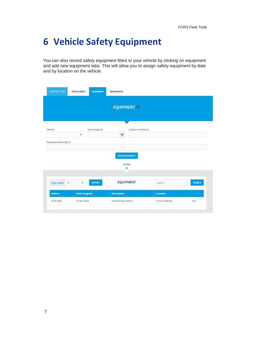## <span id="page-10-0"></span>**6 Vehicle Safety Equipment**

You can also record safety equipment fitted to your vehicle by clicking on equipment and add new equipment tabs. This will allow you to assign safety equipment by date and by location on the vehicle.

| <b>COMPANY INFO</b>   | <b>VEHICLE DATA</b>  | <b>EQUIPMENT</b> | <b>DRIVER DATA</b> |                              |          |        |
|-----------------------|----------------------|------------------|--------------------|------------------------------|----------|--------|
|                       |                      |                  |                    | <b>EQUIPMENT</b>             |          |        |
|                       |                      |                  |                    |                              |          |        |
| Vehicle               |                      | Date Assigned    |                    | Location on Vehicle          |          |        |
|                       | v                    |                  | a                  |                              |          |        |
| Equipment Description |                      |                  |                    |                              |          |        |
|                       |                      |                  |                    | ADD EQUIPMENT<br>CLOSE<br>Ŕ, |          |        |
| Page Length           | $\checkmark$<br>10   | EXPORT           |                    | <b>EQUIPMENT</b>             | Search   | SEARCH |
|                       |                      |                  |                    |                              |          |        |
| Vehicle               | <b>Date Assigned</b> |                  | <b>Description</b> |                              | Location |        |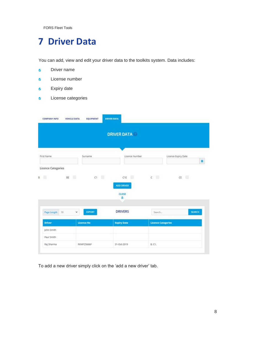### <span id="page-11-0"></span>**7 Driver Data**

You can add, view and edit your driver data to the toolkits system. Data includes:

- Driver name  $\bullet$
- License number  $\bullet$
- Expiry date  $\bullet$
- License categories  $\bullet$

|                    |                       | <b>DRIVER DATA</b>           |                           |                          |
|--------------------|-----------------------|------------------------------|---------------------------|--------------------------|
| First Name         | Surname               | Licence Number               |                           | Licence Expiry Date<br>首 |
| Licence Categories |                       |                              |                           |                          |
|                    |                       |                              |                           |                          |
|                    | BE                    | C1<br>日<br>CIE<br>ADD DRIVER | C                         | CE                       |
|                    |                       | CLOSE<br>즛                   |                           |                          |
| Page Length 10     | $\check{~}$<br>EXPORT | <b>DRIVERS</b>               | Search                    | <b>SEARCH</b>            |
| 匠<br><b>Driver</b> | <b>Licence No</b>     | <b>Expiry Date</b>           | <b>Licence Categories</b> |                          |
| John Smith         |                       |                              |                           |                          |
| Paul Smith         |                       |                              |                           |                          |

To add a new driver simply click on the 'add a new driver' tab.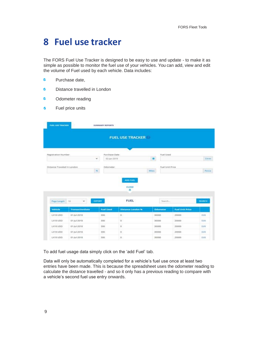#### <span id="page-12-0"></span>**8 Fuel use tracker**

The FORS Fuel Use Tracker is designed to be easy to use and update - to make it as simple as possible to monitor the fuel use of your vehicles. You can add, view and edit the volume of Fuel used by each vehicle. Data includes:

- $\ddot{\textbf{v}}$ Purchase date,
- $\ddot{\textbf{v}}$ Distance travelled in London
- $\ddot{\textbf{v}}$ Odometer reading
- Fuel price units  $\mathbf{v}$

|                               | <b>FUEL USE TRACKER</b><br><b>SUMMARY REPORTS</b> |                                    |                          |                    |                        |               |
|-------------------------------|---------------------------------------------------|------------------------------------|--------------------------|--------------------|------------------------|---------------|
|                               |                                                   |                                    | <b>FUEL USE TRACKER</b>  |                    |                        |               |
| Registration Number.          |                                                   | Purchase Date                      |                          | Fuel Used          |                        |               |
|                               |                                                   | $\dot{\phantom{a}}$<br>02-Jan-2019 |                          | <b>ILE</b>         |                        | Litres        |
| Distance Traveled In London   |                                                   | Odometer                           |                          |                    | Fuel Unit Price        |               |
|                               |                                                   | m.                                 |                          | Miles <sup>1</sup> |                        | Perice        |
|                               |                                                   |                                    | <b>ADD FUEL</b><br>CLOSE |                    |                        |               |
|                               | $\checkmark$<br>$10^{1}$                          | <b>EXPORT</b>                      | 奕<br><b>FUEL</b>         | Search             |                        | <b>SEARCH</b> |
| Page Length<br><b>Vehicle</b> | <b>TransactionDate</b>                            | <b>Fuel Used</b>                   | <b>Distance London %</b> | <b>Odometer</b>    | <b>Fuel Unit Price</b> |               |
| LX18 UDD                      | 01-Jul-2018                                       | 300                                | $\circ$                  | 30000              | 20000                  | Edit          |
| LX18 UDD                      | 01-Jul-2018                                       | 300                                | o.                       | 30000              | 20000                  | Edit          |
| LX18 UDO                      | 01-Jul-2018                                       | 300                                | $\alpha$                 | 30000              | 20000                  | Edit          |
| LX18 UDO                      | 01-jul-2018                                       | 300                                | Ü,                       | 30000              | 20000                  | Edit          |

To add fuel usage data simply click on the 'add Fuel' tab.

Data will only be automatically completed for a vehicle's fuel use once at least two entries have been made. This is because the spreadsheet uses the odometer reading to calculate the distance travelled - and so it only has a previous reading to compare with a vehicle's second fuel use entry onwards.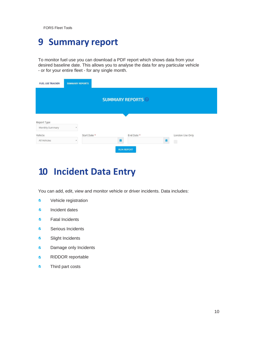#### <span id="page-13-0"></span>**9 Summary report**

To monitor fuel use you can download a PDF report which shows data from your desired baseline date. This allows you to analyse the data for any particular vehicle - or for your entire fleet - for any single month.

| <b>FUEL USE TRACKER</b> | <b>SUMMARY REPORTS</b>    |              |   |                        |   |                           |
|-------------------------|---------------------------|--------------|---|------------------------|---|---------------------------|
|                         |                           |              |   | <b>SUMMARY REPORTS</b> |   |                           |
| Report Type             |                           |              |   |                        |   |                           |
| Monthly Summary         | $\boldsymbol{\mathrm{v}}$ |              |   |                        |   |                           |
| Vehicle<br>All Vehicles | $\boldsymbol{\mathrm{v}}$ | Start Date * | 曲 | End Date *             | ä | London Use Only<br>$\Box$ |
|                         |                           |              |   | <b>RUN REPORT</b>      |   |                           |

### <span id="page-13-1"></span>**10 Incident Data Entry**

You can add, edit, view and monitor vehicle or driver incidents. Data includes:

- $\bullet$ Vehicle registration
- $\ddot{\textbf{v}}$ Incident dates
- Fatal Incidents  $\ddot{\textbf{v}}$
- $\bullet$ Serious Incidents
- $\bullet$ Slight Incidents
- $\bullet$ Damage only Incidents
- RIDDOR reportable  $\bullet$
- Third part costs $\bullet$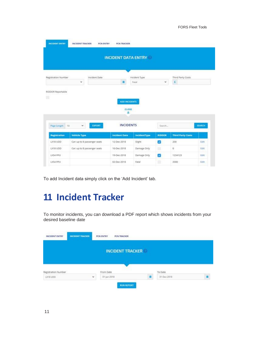|                                                                        |                              |                      | <b>INCIDENT DATA ENTRY</b>  |               |                          |               |
|------------------------------------------------------------------------|------------------------------|----------------------|-----------------------------|---------------|--------------------------|---------------|
| Registration Number                                                    |                              | Incident Date        | Incident Type               |               | Third Party Costs        |               |
|                                                                        | v                            | п                    | Fatal.                      | $\checkmark$  | $\mathsf{E}$             |               |
|                                                                        |                              |                      | ADD INCIDENTS<br>CLOSE<br>× |               |                          |               |
|                                                                        | $\checkmark$<br>10           | EXPORT               | <b>INCIDENTS</b>            | Search        |                          | <b>SEARCH</b> |
|                                                                        | <b>Vehicle Type</b>          | <b>Incident Date</b> | <b>IncidentType</b>         | <b>RIDDOR</b> | <b>Third Party Costs</b> |               |
|                                                                        | Car: up to 8 passenger seats | 12-Dec-2018          | Slight                      | o             | 200                      | Edit          |
|                                                                        | Car: up to 8 passenger seats | 10-Dec-2018          | Damage Only                 | ۰             | ö                        | Edit          |
| Page Length<br><b>Registration</b><br>LX18 UDD<br>LX18 UDD<br>LXS4 PPU |                              | 19-Dec-2018          | Damage Only                 | ø             | 1234123                  | Edit          |

To add Incident data simply click on the 'Add Incident' tab.

## <span id="page-14-0"></span>**11 Incident Tracker**

To monitor incidents, you can download a PDF report which shows incidents from your desired baseline date

| computations in district.<br><b>INCIDENT ENTRY</b> | <b>INCIDENT TRACKER</b> | <b>VENNOCHTK-WITH</b><br><b>INSTRUCTORY/GR</b><br><b>PCN TRACKER</b><br><b>PCN ENTRY</b> |             |  |
|----------------------------------------------------|-------------------------|------------------------------------------------------------------------------------------|-------------|--|
|                                                    |                         | <b>INCIDENT TRACKER</b>                                                                  |             |  |
| Registration Number                                |                         | From Date                                                                                | To Date     |  |
| LX18 UDD                                           | ù.                      | 01-jan-2018                                                                              | 31-Dec-2018 |  |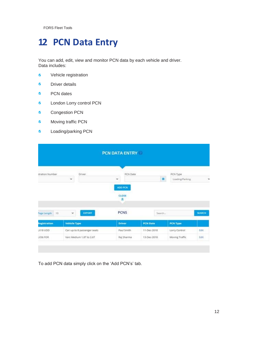# <span id="page-15-0"></span>**12 PCN Data Entry**

You can add, edit, view and monitor PCN data by each vehicle and driver. Data includes:

- $\bullet$ Vehicle registration
- $\bullet$ Driver details
- $\bullet$ PCN dates
- $\bullet$ London Lorry control PCN
- Congestion PCN  $\bullet$
- $\bullet$ Moving traffic PCN
- $\bullet$ Loading/parking PCN

|                    |                     |                              | <b>PCN DATA ENTRY</b> |                 |                      |               |
|--------------------|---------------------|------------------------------|-----------------------|-----------------|----------------------|---------------|
|                    |                     |                              |                       |                 |                      |               |
| stration Number    |                     | Driver.                      | PCN Date              |                 | PCN Type             |               |
|                    | $\omega$            |                              | v                     |                 | п<br>Loading/Parking | ×,            |
|                    |                     |                              | ADD PCN<br>CLOSE      |                 |                      |               |
|                    |                     |                              |                       |                 |                      |               |
|                    |                     |                              | R                     |                 |                      |               |
| 10.<br>Page Length | ۳                   | <b>EXPORT</b>                | <b>PCNS</b>           | Search          |                      | <b>SEARCH</b> |
| Registration       | <b>Vehicle Type</b> |                              | <b>Driver</b>         | <b>PCN Date</b> | PCN Type             |               |
| DOM B LOD          |                     | Car: up to 8 passenger seats | Paul Smith            | 11-Dec-2018     | Lorry Control        | Edit          |

To add PCN data simply click on the 'Add PCN's' tab.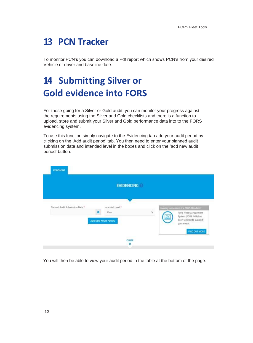## <span id="page-16-0"></span>**13 PCN Tracker**

To monitor PCN's you can download a Pdf report which shows PCN's from your desired Vehicle or driver and baseline date.

# <span id="page-16-1"></span>**14 Submitting Silver or Gold evidence into FORS**

For those going for a Silver or Gold audit, you can monitor your progress against the requirements using the Silver and Gold checklists and there is a function to upload, store and submit your Silver and Gold performance data into to the FORS evidencing system.

To use this function simply navigate to the Evidencing tab add your audit period by clicking on the 'Add audit period' tab. You then need to enter your planned audit submission date and intended level in the boxes and click on the 'add new audit period' button.

|                                 | <b>EVIDENCING</b>               |   |                                                                                                |
|---------------------------------|---------------------------------|---|------------------------------------------------------------------------------------------------|
| Planned Audit Submission Date * | Intended Level *                |   | Looking to maintain the FORS Standard?                                                         |
|                                 | Silver.<br>ADD NEW AUDIT PERIOD | Y | FORS Fleet Management<br>₿<br>System (FORS FMS) has<br>been tailored to support<br>your needs. |
|                                 |                                 |   | <b>FIND OUT MORE</b>                                                                           |

You will then be able to view your audit period in the table at the bottom of the page.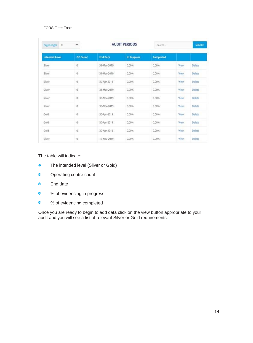| Page Length<br>10     | v               |                 | <b>AUDIT PERIODS</b> | Search           |             | SEARCH |
|-----------------------|-----------------|-----------------|----------------------|------------------|-------------|--------|
| <b>Intended Level</b> | <b>OC Count</b> | <b>End Date</b> | In Progress          | <b>Completed</b> |             |        |
| Silver                | ø               | 31-Mar-2019     | 0.00%                | 0.00%            | View        | Delete |
| Silver                | $0^\prime$      | 31-Mar-2019     | 0.00%                | 0.00%            | View        | Delete |
| Silver                | 0               | 30-Apr-2019     | 0.00%                | 0.00%            | View.       | Delete |
| Silver                | Ö               | 31-Mar-2019     | 0.00%                | 0.00%            | View        | Delete |
| Silver                | ö               | 30-Nov-2019     | 0.00%                | 0.00%            | View        | Délete |
| Silver                | ö               | 30-Nov-2019     | 0.00%                | 0.00%            | View        | Delete |
| Gold                  | 0               | 30-Apr-2019     | 0.00%                | 0.00%            | View        | Delete |
| Gold                  | Û.              | 30-Apr-2019     | 0.00%                | 0.00%            | View        | Delete |
| Gold                  | Ō               | 30-Apr-2019     | 0.00%                | 0.00%            | View        | Delete |
| Silver                | 0               | 12-Nov-2019     | 0.00%                | 0.00%            | <b>View</b> | Delete |

#### The table will indicate:

- The intended level (Silver or Gold)  $\bullet$
- $\bullet$ Operating centre count
- $\bullet$ End date
- % of evidencing in progress  $\bullet$
- % of evidencing completed  $\bullet$

Once you are ready to begin to add data click on the view button appropriate to your audit and you will see a list of relevant Silver or Gold requirements.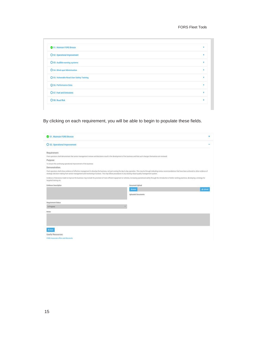| S1. Maintain FORS Bronze                   |   |
|--------------------------------------------|---|
| O S2. Operational Improvement              |   |
| O S3. Audible warning systems              | ٠ |
| O S4. Blind-spot Minimisation              |   |
| O S5. Vulnerable Road User Safety Training | ¥ |
| O S6. Performance Data                     |   |
| O S7. Fuel and Emissions                   |   |
| O SB. Road Risk                            |   |

By clicking on each requirement, you will be able to begin to populate these fields.

| S1. Maintain FORS Bronze                                                                                                                                                                                                                                                | ÷                                                                                                                                                                                                                              |
|-------------------------------------------------------------------------------------------------------------------------------------------------------------------------------------------------------------------------------------------------------------------------|--------------------------------------------------------------------------------------------------------------------------------------------------------------------------------------------------------------------------------|
| O S2. Operational Improvement                                                                                                                                                                                                                                           |                                                                                                                                                                                                                                |
| Requirement:<br>Fleet operators shall demonstrate that senior management reviews and decisions result in the development of the business and that such changes themselves are reviewed.<br>Purpose:<br>To ensure the continuing operational improvement of the business |                                                                                                                                                                                                                                |
| Demonstration:                                                                                                                                                                                                                                                          | Fleet operators shall show evidence of effective management to develop the business, not just numing the day to day operation. This may be through indicating review recommendations that have been actioned or other evidence |
| strategic decision making from senior management and monitoring of actions. This may follow procedures in any existing robust quality management system.<br>targeted training etc.                                                                                      | Evidence of decisions made to improve the business may include the provision of more efficient equipment or vehicles, increasing operational safety through the introduction of better working practices, developing a strateg |
| Evidence Description                                                                                                                                                                                                                                                    | Document Upload                                                                                                                                                                                                                |
|                                                                                                                                                                                                                                                                         | ±Upload<br><b>Browse</b><br><b>Uploaded Documents</b>                                                                                                                                                                          |
| Requirement Status                                                                                                                                                                                                                                                      |                                                                                                                                                                                                                                |
| In Progress                                                                                                                                                                                                                                                             |                                                                                                                                                                                                                                |
| Notes                                                                                                                                                                                                                                                                   |                                                                                                                                                                                                                                |
|                                                                                                                                                                                                                                                                         |                                                                                                                                                                                                                                |
| <b>Ei Save</b>                                                                                                                                                                                                                                                          |                                                                                                                                                                                                                                |
| Useful Resources:                                                                                                                                                                                                                                                       |                                                                                                                                                                                                                                |
|                                                                                                                                                                                                                                                                         |                                                                                                                                                                                                                                |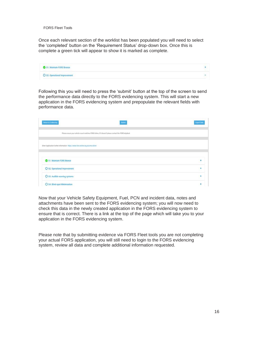Once each relevant section of the worklist has been populated you will need to select the 'completed' button on the 'Requirement Status' drop-down box. Once this is complete a green tick will appear to show it is marked as complete.

| S1. Maintain FORS Bronze                                                                                                                                                                                                                                                                                           |                          |
|--------------------------------------------------------------------------------------------------------------------------------------------------------------------------------------------------------------------------------------------------------------------------------------------------------------------|--------------------------|
| André Carlos de Maria de la filla de la companya de la consecuencia de la consecuencia de la consecuencia de l<br>Carlos de la consecuencia de la consecuencia de la consecuencia de la consecuencia de la consecuencia de la co<br>O S2. Operational Improvement<br>THE PRODUCT OF VIOLENCE IN THE REAL PROPERTY. | $\overline{\phantom{a}}$ |

Following this you will need to press the 'submit' button at the top of the screen to send the performance data directly to the FORS evidencing system. This will start a new application in the FORS evidencing system and prepopulate the relevant fields with performance data.

| Return to Evidencing                                                                | Submit                                                                                               | Export Data |
|-------------------------------------------------------------------------------------|------------------------------------------------------------------------------------------------------|-------------|
|                                                                                     | Please ensure your vehicle count matches FORS Online, if it doesn't please contact the FORS helpdesk |             |
| Silver Application further information - https://www.fors-online.org.uk/cms/silver/ |                                                                                                      |             |
|                                                                                     |                                                                                                      |             |
| S1. Maintain FORS Bronze                                                            |                                                                                                      | ä,          |
| O S2. Operational Improvement                                                       |                                                                                                      | ă.          |
| O S3. Audible warning systems                                                       |                                                                                                      | ٠           |
| O S4. Blind-spot Minimisation                                                       |                                                                                                      |             |

Now that your Vehicle Safety Equipment, Fuel, PCN and incident data, notes and attachments have been sent to the FORS evidencing system; you will now need to check this data in the newly created application in the FORS evidencing system to ensure that is correct. There is a link at the top of the page which will take you to your application in the FORS evidencing system.

Please note that by submitting evidence via FORS Fleet tools you are not completing your actual FORS application, you will still need to login to the FORS evidencing system, review all data and complete additional information requested.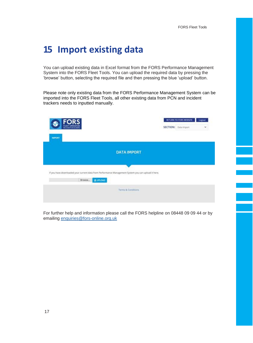#### <span id="page-20-0"></span>**15 Import existing data**

You can upload existing data in Excel format from the FORS Performance Management System into the FORS Fleet Tools. You can upload the required data by pressing the 'browse' button, selecting the required file and then pressing the blue 'upload' button.

Please note only existing data from the FORS Performance Management System can be imported into the FORS Fleet Tools, all other existing data from PCN and incident trackers needs to inputted manually.

| <b>FORS</b><br>FLEET OPERATOR                                                                       |                    |  | RETURN TO FORS WEBSITE<br><b>SECTION:</b> Data Import | Logout<br>v |
|-----------------------------------------------------------------------------------------------------|--------------------|--|-------------------------------------------------------|-------------|
| <b>IMPORT</b>                                                                                       |                    |  |                                                       |             |
|                                                                                                     | <b>DATA IMPORT</b> |  |                                                       |             |
|                                                                                                     |                    |  |                                                       |             |
| If you have downloaded your current data from Performance Management System you can upload it here. |                    |  |                                                       |             |
| Browse                                                                                              | LUPLOAD            |  |                                                       |             |
|                                                                                                     |                    |  |                                                       |             |

For further help and information please call the FORS helpline on 08448 09 09 44 or by emailing [enquiries@fors-online.org.uk](mailto:enquiries@fors-online.org.uk)